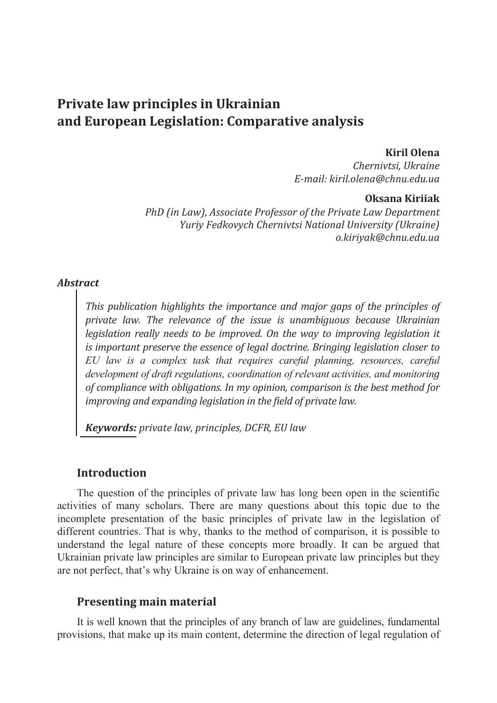# **Private law principles in Ukrainian and European Legislation: Comparative analysis**

#### **Kiril Olena**

*Chernivtsi, Ukraine E-mail: kiril.olena@chnu.edu.ua* 

#### **Oksana Kiriiak**

*PhD (in Law), Associate Professor of the Private Law Department Yuriy Fedkovych Chernivtsi National University (Ukraine) o.kiriyak@chnu.edu.ua* 

#### *Abstract*

*This publication highlights the importance and major gaps of the principles of private law. The relevance of the issue is unambiguous because Ukrainian legislation really needs to be improved. On the way to improving legislation it is important preserve the essence of legal doctrine. Bringing legislation closer to EU law is a complex task that requires careful planning, resources, careful development of draft regulations, coordination of relevant activities, and monitoring of compliance with obligations. In my opinion, comparison is the best method for improving and expanding legislation in the field of private law.* 

*Keywords: private law, principles, DCFR, EU law* 

## **Introduction**

The question of the principles of private law has long been open in the scientific activities of many scholars. There are many questions about this topic due to the incomplete presentation of the basic principles of private law in the legislation of different countries. That is why, thanks to the method of comparison, it is possible to understand the legal nature of these concepts more broadly. It can be argued that Ukrainian private law principles are similar to European private law principles but they are not perfect, that's why Ukraine is on way of enhancement.

## **Presenting main material**

It is well known that the principles of any branch of law are guidelines, fundamental provisions, that make up its main content, determine the direction of legal regulation of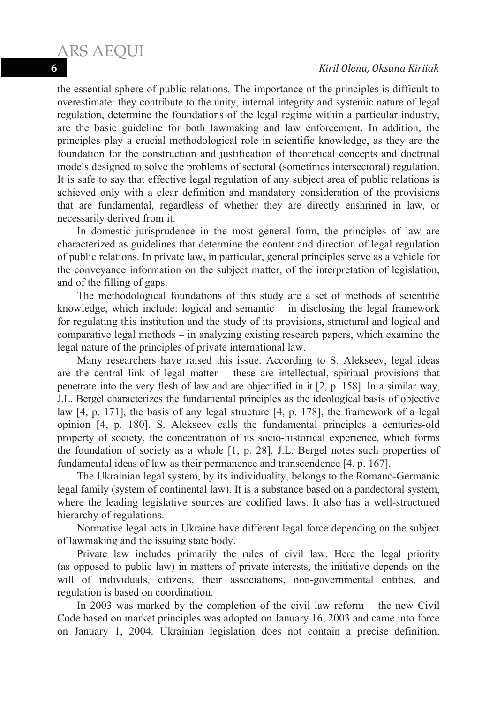the essential sphere of public relations. The importance of the principles is difficult to overestimate: they contribute to the unity, internal integrity and systemic nature of legal regulation, determine the foundations of the legal regime within a particular industry, are the basic guideline for both lawmaking and law enforcement. In addition, the principles play a crucial methodological role in scientific knowledge, as they are the foundation for the construction and justification of theoretical concepts and doctrinal models designed to solve the problems of sectoral (sometimes intersectoral) regulation. It is safe to say that effective legal regulation of any subject area of public relations is achieved only with a clear definition and mandatory consideration of the provisions that are fundamental, regardless of whether they are directly enshrined in law, or necessarily derived from it.

In domestic jurisprudence in the most general form, the principles of law are characterized as guidelines that determine the content and direction of legal regulation of public relations. In private law, in particular, general principles serve as a vehicle for the conveyance information on the subject matter, of the interpretation of legislation, and of the filling of gaps.

The methodological foundations of this study are a set of methods of scientific knowledge, which include: logical and semantic – in disclosing the legal framework for regulating this institution and the study of its provisions, structural and logical and comparative legal methods – in analyzing existing research papers, which examine the legal nature of the principles of private international law.

Many researchers have raised this issue. According to S. Alekseev, legal ideas are the central link of legal matter – these are intellectual, spiritual provisions that penetrate into the very flesh of law and are objectified in it [2, p. 158]. In a similar way, J.L. Bergel characterizes the fundamental principles as the ideological basis of objective law [4, p. 171], the basis of any legal structure [4, p. 178], the framework of a legal opinion [4, p. 180]. S. Alekseev calls the fundamental principles a centuries-old property of society, the concentration of its socio-historical experience, which forms the foundation of society as a whole [1, p. 28]. J.L. Bergel notes such properties of fundamental ideas of law as their permanence and transcendence [4, p. 167].

The Ukrainian legal system, by its individuality, belongs to the Romano-Germanic legal family (system of continental law). It is a substance based on a pandectoral system, where the leading legislative sources are codified laws. It also has a well-structured hierarchy of regulations.

Normative legal acts in Ukraine have different legal force depending on the subject of lawmaking and the issuing state body.

Private law includes primarily the rules of civil law. Here the legal priority (as opposed to public law) in matters of private interests, the initiative depends on the will of individuals, citizens, their associations, non-governmental entities, and regulation is based on coordination.

In 2003 was marked by the completion of the civil law reform – the new Civil Code based on market principles was adopted on January 16, 2003 and came into force on January 1, 2004. Ukrainian legislation does not contain a precise definition.

ARS AEQUI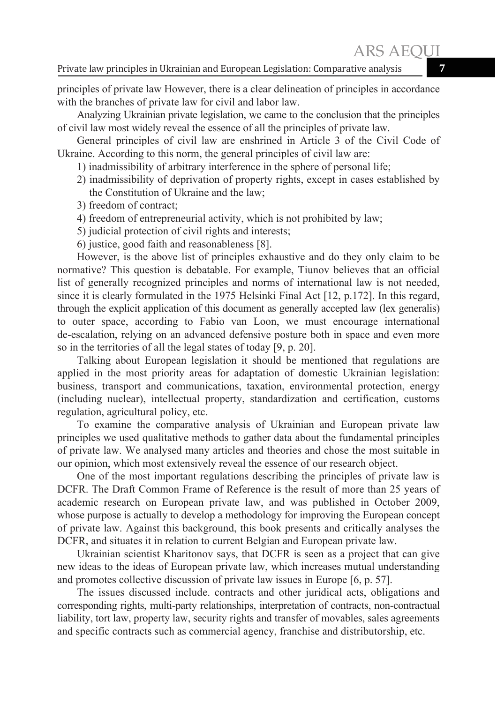principles of private law However, there is a clear delineation of principles in accordance with the branches of private law for civil and labor law.

Analyzing Ukrainian private legislation, we came to the conclusion that the principles of civil law most widely reveal the essence of all the principles of private law.

General principles of civil law are enshrined in Article 3 of the Civil Code of Ukraine. According to this norm, the general principles of civil law are:

- 1) inadmissibility of arbitrary interference in the sphere of personal life;
- 2) inadmissibility of deprivation of property rights, except in cases established by the Constitution of Ukraine and the law;
- 3) freedom of contract;
- 4) freedom of entrepreneurial activity, which is not prohibited by law;
- 5) judicial protection of civil rights and interests;
- 6) justice, good faith and reasonableness [8].

However, is the above list of principles exhaustive and do they only claim to be normative? This question is debatable. For example, Tiunov believes that an official list of generally recognized principles and norms of international law is not needed, since it is clearly formulated in the 1975 Helsinki Final Act [12, p.172]. In this regard, through the explicit application of this document as generally accepted law (lex generalis) to outer space, according to Fabio van Loon, we must encourage international de-escalation, relying on an advanced defensive posture both in space and even more so in the territories of all the legal states of today [9, p. 20].

Talking about European legislation it should be mentioned that regulations are applied in the most priority areas for adaptation of domestic Ukrainian legislation: business, transport and communications, taxation, environmental protection, energy (including nuclear), intellectual property, standardization and certification, customs regulation, agricultural policy, etc.

To examine the comparative analysis of Ukrainian and European private law principles we used qualitative methods to gather data about the fundamental principles of private law. We analysed many articles and theories and chose the most suitable in our opinion, which most extensively reveal the essence of our research object.

One of the most important regulations describing the principles of private law is DCFR. The Draft Common Frame of Reference is the result of more than 25 years of academic research on European private law, and was published in October 2009, whose purpose is actually to develop a methodology for improving the European concept of private law. Against this background, this book presents and critically analyses the DCFR, and situates it in relation to current Belgian and European private law.

Ukrainian scientist Kharitonov says, that DCFR is seen as a project that can give new ideas to the ideas of European private law, which increases mutual understanding and promotes collective discussion of private law issues in Europe [6, p. 57].

The issues discussed include. contracts and other juridical acts, obligations and corresponding rights, multi-party relationships, interpretation of contracts, non-contractual liability, tort law, property law, security rights and transfer of movables, sales agreements and specific contracts such as commercial agency, franchise and distributorship, etc.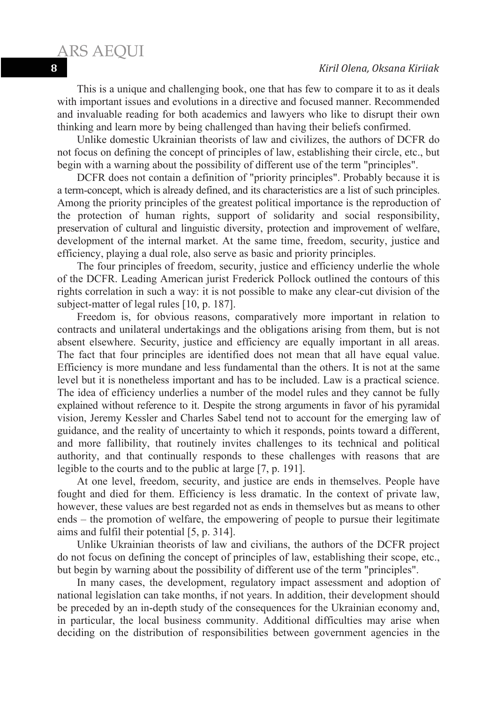This is a unique and challenging book, one that has few to compare it to as it deals with important issues and evolutions in a directive and focused manner. Recommended and invaluable reading for both academics and lawyers who like to disrupt their own thinking and learn more by being challenged than having their beliefs confirmed.

Unlike domestic Ukrainian theorists of law and civilizes, the authors of DCFR do not focus on defining the concept of principles of law, establishing their circle, etc., but begin with a warning about the possibility of different use of the term "principles".

DCFR does not contain a definition of "priority principles". Probably because it is a term-concept, which is already defined, and its characteristics are a list of such principles. Among the priority principles of the greatest political importance is the reproduction of the protection of human rights, support of solidarity and social responsibility, preservation of cultural and linguistic diversity, protection and improvement of welfare, development of the internal market. At the same time, freedom, security, justice and efficiency, playing a dual role, also serve as basic and priority principles.

The four principles of freedom, security, justice and efficiency underlie the whole of the DCFR. Leading American jurist Frederick Pollock outlined the contours of this rights correlation in such a way: it is not possible to make any clear-cut division of the subject-matter of legal rules [10, p. 187].

Freedom is, for obvious reasons, comparatively more important in relation to contracts and unilateral undertakings and the obligations arising from them, but is not absent elsewhere. Security, justice and efficiency are equally important in all areas. The fact that four principles are identified does not mean that all have equal value. Efficiency is more mundane and less fundamental than the others. It is not at the same level but it is nonetheless important and has to be included. Law is a practical science. The idea of efficiency underlies a number of the model rules and they cannot be fully explained without reference to it. Despite the strong arguments in favor of his pyramidal vision, Jeremy Kessler and Charles Sabel tend not to account for the emerging law of guidance, and the reality of uncertainty to which it responds, points toward a different, and more fallibility, that routinely invites challenges to its technical and political authority, and that continually responds to these challenges with reasons that are legible to the courts and to the public at large [7, p. 191].

At one level, freedom, security, and justice are ends in themselves. People have fought and died for them. Efficiency is less dramatic. In the context of private law, however, these values are best regarded not as ends in themselves but as means to other ends – the promotion of welfare, the empowering of people to pursue their legitimate aims and fulfil their potential [5, p. 314].

Unlike Ukrainian theorists of law and civilians, the authors of the DCFR project do not focus on defining the concept of principles of law, establishing their scope, etc., but begin by warning about the possibility of different use of the term "principles".

In many cases, the development, regulatory impact assessment and adoption of national legislation can take months, if not years. In addition, their development should be preceded by an in-depth study of the consequences for the Ukrainian economy and, in particular, the local business community. Additional difficulties may arise when deciding on the distribution of responsibilities between government agencies in the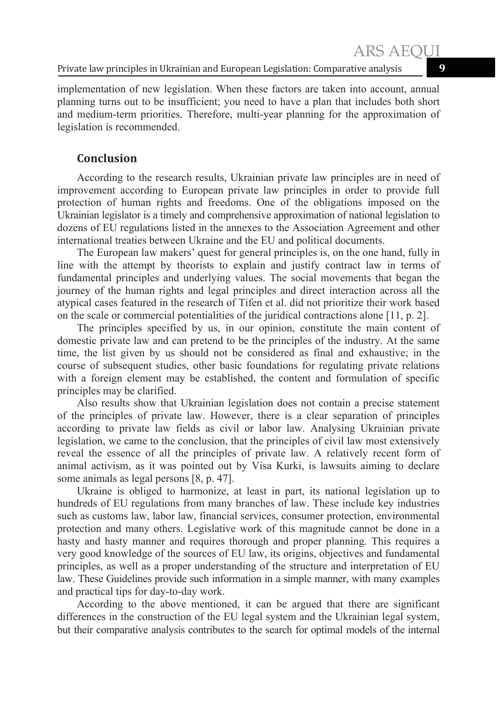implementation of new legislation. When these factors are taken into account, annual planning turns out to be insufficient; you need to have a plan that includes both short and medium-term priorities. Therefore, multi-year planning for the approximation of legislation is recommended.

## **Conclusion**

According to the research results, Ukrainian private law principles are in need of improvement according to European private law principles in order to provide full protection of human rights and freedoms. One of the obligations imposed on the Ukrainian legislator is a timely and comprehensive approximation of national legislation to dozens of EU regulations listed in the annexes to the Association Agreement and other international treaties between Ukraine and the EU and political documents.

The European law makers' quest for general principles is, on the one hand, fully in line with the attempt by theorists to explain and justify contract law in terms of fundamental principles and underlying values. The social movements that began the journey of the human rights and legal principles and direct interaction across all the atypical cases featured in the research of Tifen et al. did not prioritize their work based on the scale or commercial potentialities of the juridical contractions alone [11, p. 2].

The principles specified by us, in our opinion, constitute the main content of domestic private law and can pretend to be the principles of the industry. At the same time, the list given by us should not be considered as final and exhaustive; in the course of subsequent studies, other basic foundations for regulating private relations with a foreign element may be established, the content and formulation of specific principles may be clarified.

Also results show that Ukrainian legislation does not contain a precise statement of the principles of private law. However, there is a clear separation of principles according to private law fields as civil or labor law. Analysing Ukrainian private legislation, we came to the conclusion, that the principles of civil law most extensively reveal the essence of all the principles of private law. A relatively recent form of animal activism, as it was pointed out by Visa Kurki, is lawsuits aiming to declare some animals as legal persons [8, p. 47].

Ukraine is obliged to harmonize, at least in part, its national legislation up to hundreds of EU regulations from many branches of law. These include key industries such as customs law, labor law, financial services, consumer protection, environmental protection and many others. Legislative work of this magnitude cannot be done in a hasty and hasty manner and requires thorough and proper planning. This requires a very good knowledge of the sources of EU law, its origins, objectives and fundamental principles, as well as a proper understanding of the structure and interpretation of EU law. These Guidelines provide such information in a simple manner, with many examples and practical tips for day-to-day work.

According to the above mentioned, it can be argued that there are significant differences in the construction of the EU legal system and the Ukrainian legal system, but their comparative analysis contributes to the search for optimal models of the internal

ARS AEQUI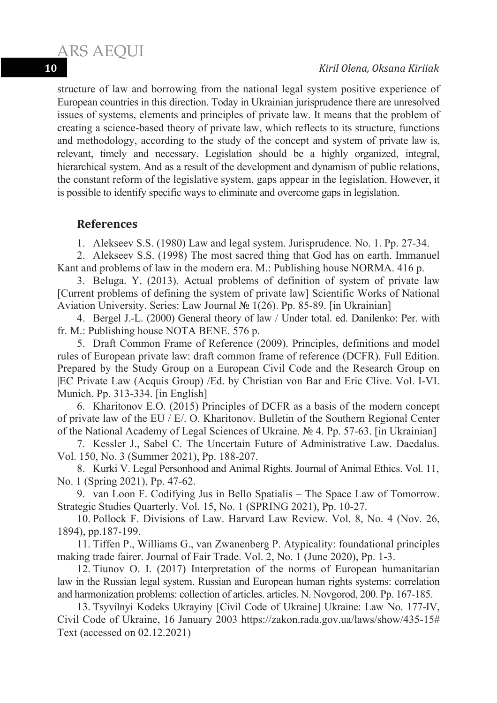#### **10** *Kiril Olena, Oksana Kiriiak*

structure of law and borrowing from the national legal system positive experience of European countries in this direction. Today in Ukrainian jurisprudence there are unresolved issues of systems, elements and principles of private law. It means that the problem of creating a science-based theory of private law, which reflects to its structure, functions and methodology, according to the study of the concept and system of private law is, relevant, timely and necessary. Legislation should be a highly organized, integral, hierarchical system. And as a result of the development and dynamism of public relations, the constant reform of the legislative system, gaps appear in the legislation. However, it is possible to identify specific ways to eliminate and overcome gaps in legislation.

## **References**

ARS AEQUI

1. Alekseev S.S. (1980) Law and legal system. Jurisprudence. No. 1. Pp. 27-34.

2. Alekseev S.S. (1998) The most sacred thing that God has on earth. Immanuel Kant and problems of law in the modern era. M.: Publishing house NORMA. 416 p.

3. Beluga. Y. (2013). Actual problems of definition of system of private law [Current problems of defining the system of private law] Scientific Works of National Aviation University. Series: Law Journal  $\mathbb{N}^{\circ}$  1(26). Pp. 85-89. [in Ukrainian]

4. Bergel J.-L. (2000) General theory of law / Under total. ed. Danilenko: Per. with fr. M.: Publishing house NOTA BENE. 576 p.

5. Draft Common Frame of Reference (2009). Principles, definitions and model rules of European private law: draft common frame of reference (DCFR). Full Edition. Prepared by the Study Group on a European Civil Code and the Research Group on |EC Private Law (Acquis Group) /Ed. by Christian von Bar and Eric Clive. Vol. I-VI. Munich. Pp. 313-334. [in English]

6. Kharitonov E.O. (2015) Principles of DCFR as a basis of the modern concept of private law of the EU / E/. O. Kharitonov. Bulletin of the Southern Regional Center of the National Academy of Legal Sciences of Ukraine. No 4. Pp. 57-63. [in Ukrainian]

7. Kessler J., Sabel C. The Uncertain Future of Administrative Law. Daedalus. Vol. 150, No. 3 (Summer 2021), Pp. 188-207.

8. Kurki V. Legal Personhood and Animal Rights. Journal of Animal Ethics. Vol. 11, No. 1 (Spring 2021), Pp. 47-62.

9. van Loon F. Codifying Jus in Bello Spatialis – The Space Law of Tomorrow. Strategic Studies Quarterly. Vol. 15, No. 1 (SPRING 2021), Pp. 10-27.

10. Pollock F. Divisions of Law. Harvard Law Review. Vol. 8, No. 4 (Nov. 26, 1894), pp.187-199.

11. Tiffen P., Williams G., van Zwanenberg P. Atypicality: foundational principles making trade fairer. Journal of Fair Trade. Vol. 2, No. 1 (June 2020), Pp. 1-3.

12. Tiunov O. I. (2017) Interpretation of the norms of European humanitarian law in the Russian legal system. Russian and European human rights systems: correlation and harmonization problems: collection of articles. articles. N. Novgorod, 200. Pp. 167-185.

13. Tsyvilnyi Kodeks Ukrayiny [Civil Code of Ukraine] Ukraine: Law No. 177-IV, Civil Code of Ukraine, 16 January 2003 https://zakon.rada.gov.ua/laws/show/435-15# Text (accessed on 02.12.2021)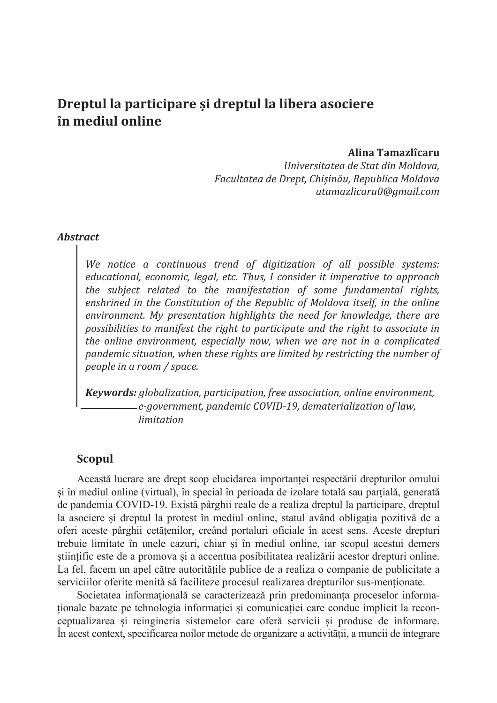## **Dreptul la participare èi dreptul la libera asociere în mediul online**

#### **Alina Tamazlîcaru**

*Universitatea de Stat din Moldova, Facultatea de Drept, Chièin£u, Republica Moldova atamazlicaru0@gmail.com* 

#### *Abstract*

*We notice a continuous trend of digitization of all possible systems: educational, economic, legal, etc. Thus, I consider it imperative to approach the subject related to the manifestation of some fundamental rights, enshrined in the Constitution of the Republic of Moldova itself, in the online environment. My presentation highlights the need for knowledge, there are possibilities to manifest the right to participate and the right to associate in the online environment, especially now, when we are not in a complicated pandemic situation, when these rights are limited by restricting the number of people in a room / space.* 

*Keywords: globalization, participation, free association, online environment, e-government, pandemic COVID-19, dematerialization of law, limitation* 

## **Scopul**

Această lucrare are drept scop elucidarea importan܊ei respectării drepturilor omului si în mediul online (virtual), în special în perioada de izolare totală sau parțială, generată de pandemia COVID-19. Există pârghii reale de a realiza dreptul la participare, dreptul la asociere și dreptul la protest în mediul online, statul având obligația pozitivă de a oferi aceste pârghii cetățenilor, creând portaluri oficiale în acest sens. Aceste drepturi trebuie limitate în unele cazuri, chiar și în mediul online, iar scopul acestui demers stiintific este de a promova și a accentua posibilitatea realizării acestor drepturi online. La fel, facem un apel către autoritățile publice de a realiza o companie de publicitate a serviciilor oferite menită să faciliteze procesul realizarea drepturilor sus-mentionate.

Societatea informatională se caracterizează prin predominanta proceselor informationale bazate pe tehnologia informatiei si comunicatiei care conduc implicit la reconceptualizarea și reingineria sistemelor care oferă servicii și produse de informare. În acest context, specificarea noilor metode de organizare a activită܊ii, a muncii de integrare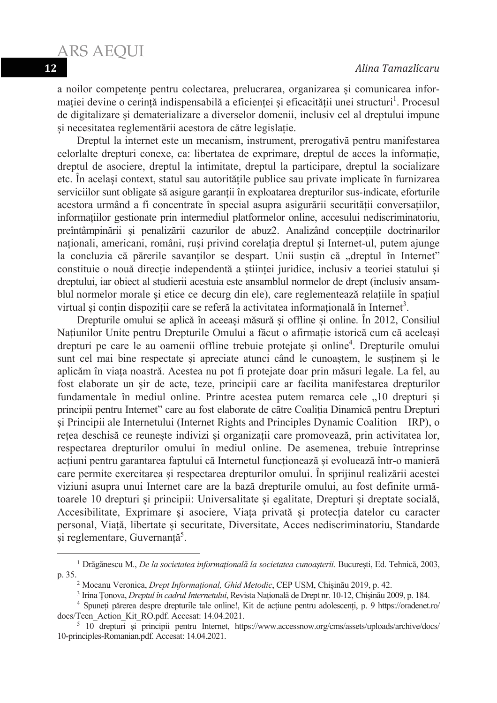a noilor competențe pentru colectarea, prelucrarea, organizarea și comunicarea informației devine o cerință indispensabilă a eficienței și eficacității unei structuri<sup>1</sup>. Procesul de digitalizare și dematerializare a diverselor domenii, inclusiv cel al dreptului impune si necesitatea reglementării acestora de către legislatie.

Dreptul la internet este un mecanism, instrument, prerogativă pentru manifestarea celorlalte drepturi conexe, ca: libertatea de exprimare, dreptul de acces la informație, dreptul de asociere, dreptul la intimitate, dreptul la participare, dreptul la socializare etc. În acelasi context, statul sau autoritățile publice sau private implicate în furnizarea serviciilor sunt obligate să asigure garanții în exploatarea drepturilor sus-indicate, eforturile acestora urmând a fi concentrate în special asupra asigurării securității conversațiilor, informa܊iilor gestionate prin intermediul platformelor online, accesului nediscriminatoriu, preîntâmpinării și penalizării cazurilor de abuz2. Analizând concepțiile doctrinarilor nationali, americani, români, rusi privind corelatia dreptul și Internet-ul, putem ajunge la concluzia că părerile savanților se despart. Unii susțin că "dreptul în Internet" constituie o nouă direcție independentă a științei juridice, inclusiv a teoriei statului și dreptului, iar obiect al studierii acestuia este ansamblul normelor de drept (inclusiv ansamblul normelor morale și etice ce decurg din ele), care reglementează relațiile în spațiul virtual și conțin dispoziții care se referă la activitatea informațională în Internet<sup>3</sup>.

Drepturile omului se aplică în aceeași măsură și offline și online. În 2012, Consiliul Natiunilor Unite pentru Drepturile Omului a făcut o afirmație istorică cum că aceleasi drepturi pe care le au oamenii offline trebuie protejate și online<sup>4</sup>. Drepturile omului sunt cel mai bine respectate și apreciate atunci când le cunoaștem, le susținem și le aplicăm în via܊a noastră. Acestea nu pot fi protejate doar prin măsuri legale. La fel, au fost elaborate un șir de acte, teze, principii care ar facilita manifestarea drepturilor fundamentale în mediul online. Printre acestea putem remarca cele "10 drepturi și principii pentru Internet" care au fost elaborate de către Coaliția Dinamică pentru Drepturi ܈i Principii ale Internetului (Internet Rights and Principles Dynamic Coalition – IRP), o retea deschisă ce reuneste indivizi și organizații care promovează, prin activitatea lor, respectarea drepturilor omului în mediul online. De asemenea, trebuie întreprinse actiuni pentru garantarea faptului că Internetul functionează și evoluează într-o manieră care permite exercitarea și respectarea drepturilor omului. În sprijinul realizării acestei viziuni asupra unui Internet care are la bază drepturile omului, au fost definite următoarele 10 drepturi și principii: Universalitate și egalitate, Drepturi și dreptate socială, Accesibilitate, Exprimare și asociere, Viața privată și protecția datelor cu caracter personal, Viață, libertate și securitate, Diversitate, Acces nediscriminatoriu, Standarde și reglementare, Guvernanță<sup>5</sup>.

<sup>&</sup>lt;sup>1</sup> Drăgănescu M., *De la societatea informațională la societatea cunoașterii*. București, Ed. Tehnică, 2003, p. 35.

<sup>&</sup>lt;sup>2</sup> Mocanu Veronica, *Drept Informațional, Ghid Metodic*, CEP USM, Chișinău 2019, p. 42.

<sup>&</sup>lt;sup>3</sup> Irina Țonova, *Dreptul în cadrul Internetului*, Revista Națională de Drept nr. 10-12, Chișinău 2009, p. 184.

<sup>&</sup>lt;sup>4</sup> Spuneți părerea despre drepturile tale online!, Kit de acțiune pentru adolescenți, p. 9 https://oradenet.ro/ docs/Teen\_Action\_Kit\_RO.pdf. Accesat: 14.04.2021.

<sup>&</sup>lt;sup>5</sup> 10 drepturi și principii pentru Internet, https://www.accessnow.org/cms/assets/uploads/archive/docs/ 10-principles-Romanian.pdf. Accesat: 14.04.2021.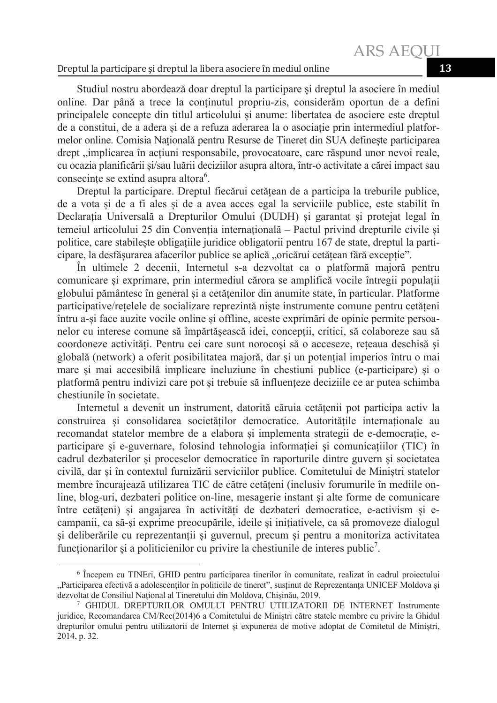#### Dreptul la participare èi dreptul la libera asociere în mediul online **13**

Studiul nostru abordează doar dreptul la participare și dreptul la asociere în mediul online. Dar până a trece la con܊inutul propriu-zis, considerăm oportun de a defini principalele concepte din titlul articolului si anume: libertatea de asociere este dreptul de a constitui, de a adera și de a refuza aderarea la o asociație prin intermediul platformelor online. Comisia Natională pentru Resurse de Tineret din SUA defineste participarea drept "implicarea în actiuni responsabile, provocatoare, care răspund unor nevoi reale, cu ocazia planificării si/sau luării deciziilor asupra altora, într-o activitate a cărei impact sau consecințe se extind asupra altora<sup>6</sup>.

Dreptul la participare. Dreptul fiecărui cetătean de a participa la treburile publice, de a vota si de a fi ales si de a avea acces egal la serviciile publice, este stabilit în Declaratia Universală a Drepturilor Omului (DUDH) și garantat și protejat legal în temeiul articolului 25 din Convenția internațională – Pactul privind drepturile civile și politice, care stabilește obligațiile juridice obligatorii pentru 167 de state, dreptul la participare, la desfăsurarea afacerilor publice se aplică "oricărui cetătean fără exceptie".

În ultimele 2 decenii, Internetul s-a dezvoltat ca o platformă majoră pentru comunicare și exprimare, prin intermediul cărora se amplifică vocile întregii populații globului pământesc în general și a cetățenilor din anumite state, în particular. Platforme participative/retelele de socializare reprezintă niște instrumente comune pentru cetăteni întru a-și face auzite vocile online și offline, aceste exprimări de opinie permite persoanelor cu interese comune să împărtășească idei, concepții, critici, să colaboreze sau să coordoneze activități. Pentru cei care sunt norocoși să o acceseze, rețeaua deschisă și globală (network) a oferit posibilitatea majoră, dar și un potențial imperios întru o mai mare și mai accesibilă implicare incluziune în chestiuni publice (e-participare) și o platformă pentru indivizi care pot și trebuie să influențeze deciziile ce ar putea schimba chestiunile în societate.

Internetul a devenit un instrument, datorită căruia cetătenii pot participa activ la construirea și consolidarea societăților democratice. Autoritățile internaționale au recomandat statelor membre de a elabora și implementa strategii de e-democrație, eparticipare si e-guvernare, folosind tehnologia informatiei și comunicațiilor (TIC) în cadrul dezbaterilor și proceselor democratice în raporturile dintre guvern și societatea civilă, dar și în contextul furnizării serviciilor publice. Comitetului de Miniștri statelor membre încurajează utilizarea TIC de către cetăteni (inclusiv forumurile în mediile online, blog-uri, dezbateri politice on-line, mesagerie instant și alte forme de comunicare între cetățeni) și angajarea în activități de dezbateri democratice, e-activism și ecampanii, ca să-și exprime preocupările, ideile și inițiativele, ca să promoveze dialogul si deliberările cu reprezentanții și guvernul, precum și pentru a monitoriza activitatea funcționarilor și a politicienilor cu privire la chestiunile de interes public<sup>7</sup>.

<sup>6</sup> Începem cu TINEri, GHID pentru participarea tinerilor în comunitate, realizat în cadrul proiectului "Participarea efectivă a adolescenților în politicile de tineret", susținut de Reprezentanța UNICEF Moldova și dezvoltat de Consiliul Național al Tineretului din Moldova, Chișinău, 2019.

<sup>7</sup> GHIDUL DREPTURILOR OMULUI PENTRU UTILIZATORII DE INTERNET Instrumente juridice, Recomandarea CM/Rec(2014)6 a Comitetului de Ministri către statele membre cu privire la Ghidul drepturilor omului pentru utilizatorii de Internet și expunerea de motive adoptat de Comitetul de Ministri, 2014, p. 32.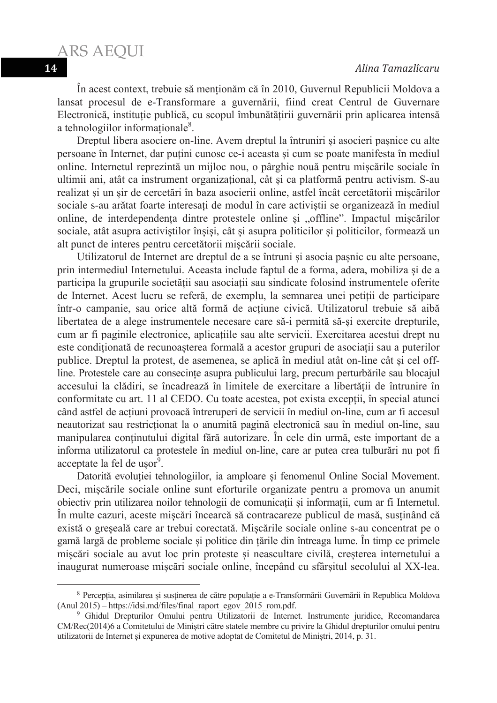ARS AEQUI

În acest context, trebuie să menționăm că în 2010, Guvernul Republicii Moldova a lansat procesul de e-Transformare a guvernării, fiind creat Centrul de Guvernare Electronică, instituție publică, cu scopul îmbunătățirii guvernării prin aplicarea intensă a tehnologiilor informaționale<sup>8</sup>.

Dreptul libera asociere on-line. Avem dreptul la întruniri și asocieri pașnice cu alte persoane în Internet, dar puțini cunosc ce-i aceasta și cum se poate manifesta în mediul online. Internetul reprezintă un mijloc nou, o pârghie nouă pentru mișcările sociale în ultimii ani, atât ca instrument organizational, cât și ca platformă pentru activism. S-au realizat și un șir de cercetări în baza asocierii online, astfel încât cercetătorii mișcărilor sociale s-au arătat foarte interesați de modul în care activiștii se organizează în mediul online, de interdependenta dintre protestele online si "offline". Impactul miscărilor sociale, atât asupra activiștilor înșiși, cât și asupra politicilor și politicilor, formează un alt punct de interes pentru cercetătorii miscării sociale.

Utilizatorul de Internet are dreptul de a se întruni și asocia pașnic cu alte persoane, prin intermediul Internetului. Aceasta include faptul de a forma, adera, mobiliza și de a participa la grupurile societății sau asociații sau sindicate folosind instrumentele oferite de Internet. Acest lucru se referă, de exemplu, la semnarea unei petiții de participare într-o campanie, sau orice altă formă de actiune civică. Utilizatorul trebuie să aibă libertatea de a alege instrumentele necesare care să-i permită să-și exercite drepturile, cum ar fi paginile electronice, aplica܊iile sau alte servicii. Exercitarea acestui drept nu este condiționată de recunoașterea formală a acestor grupuri de asociații sau a puterilor publice. Dreptul la protest, de asemenea, se aplică în mediul atât on-line cât și cel offline. Protestele care au consecințe asupra publicului larg, precum perturbările sau blocajul accesului la clădiri, se încadrează în limitele de exercitare a libertății de întrunire în conformitate cu art. 11 al CEDO. Cu toate acestea, pot exista excepții, în special atunci când astfel de ac܊iuni provoacă întreruperi de servicii în mediul on-line, cum ar fi accesul neautorizat sau restricționat la o anumită pagină electronică sau în mediul on-line, sau manipularea con܊inutului digital fără autorizare. În cele din urmă, este important de a informa utilizatorul ca protestele în mediul on-line, care ar putea crea tulburări nu pot fi acceptate la fel de ușor<sup>9</sup>.

Datorită evoluției tehnologiilor, ia amploare și fenomenul Online Social Movement. Deci, mișcările sociale online sunt eforturile organizate pentru a promova un anumit obiectiv prin utilizarea noilor tehnologii de comunicații și informații, cum ar fi Internetul. În multe cazuri, aceste mișcări încearcă să contracareze publicul de masă, susținând că există o greșeală care ar trebui corectată. Mișcările sociale online s-au concentrat pe o gamă largă de probleme sociale și politice din țările din întreaga lume. În timp ce primele miscări sociale au avut loc prin proteste și neascultare civilă, cresterea internetului a inaugurat numeroase mișcări sociale online, începând cu sfârșitul secolului al XX-lea.

<sup>&</sup>lt;sup>8</sup> Percepția, asimilarea și susținerea de către populație a e-Transformării Guvernării în Republica Moldova (Anul 2015) – https://idsi.md/files/final\_raport\_egov\_2015\_rom.pdf.

<sup>&</sup>lt;sup>9</sup> Ghidul Drepturilor Omului pentru Utilizatorii de Internet. Instrumente juridice, Recomandarea CM/Rec(2014)6 a Comitetului de Miniștri către statele membre cu privire la Ghidul drepturilor omului pentru utilizatorii de Internet și expunerea de motive adoptat de Comitetul de Miniștri, 2014, p. 31.